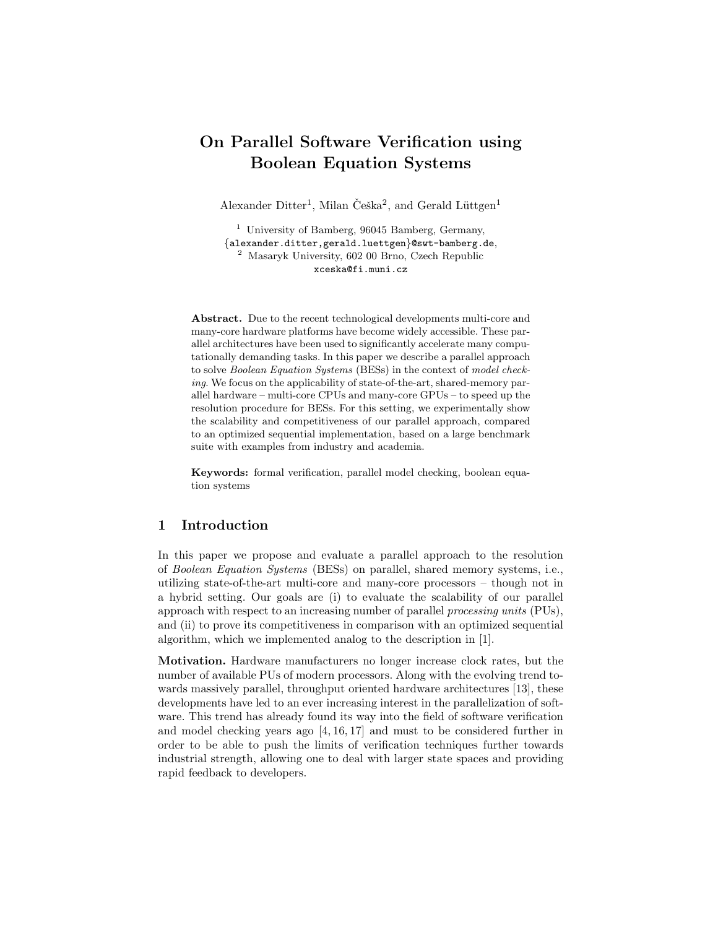# On Parallel Software Verification using Boolean Equation Systems

Alexander Ditter<sup>1</sup>, Milan Češka<sup>2</sup>, and Gerald Lüttgen<sup>1</sup>

<sup>1</sup> University of Bamberg, 96045 Bamberg, Germany, {alexander.ditter,gerald.luettgen}@swt-bamberg.de, <sup>2</sup> Masaryk University, 602 00 Brno, Czech Republic xceska@fi.muni.cz

Abstract. Due to the recent technological developments multi-core and many-core hardware platforms have become widely accessible. These parallel architectures have been used to significantly accelerate many computationally demanding tasks. In this paper we describe a parallel approach to solve Boolean Equation Systems (BESs) in the context of model checking. We focus on the applicability of state-of-the-art, shared-memory parallel hardware – multi-core CPUs and many-core GPUs – to speed up the resolution procedure for BESs. For this setting, we experimentally show the scalability and competitiveness of our parallel approach, compared to an optimized sequential implementation, based on a large benchmark suite with examples from industry and academia.

Keywords: formal verification, parallel model checking, boolean equation systems

# 1 Introduction

In this paper we propose and evaluate a parallel approach to the resolution of Boolean Equation Systems (BESs) on parallel, shared memory systems, i.e., utilizing state-of-the-art multi-core and many-core processors – though not in a hybrid setting. Our goals are (i) to evaluate the scalability of our parallel approach with respect to an increasing number of parallel processing units (PUs), and (ii) to prove its competitiveness in comparison with an optimized sequential algorithm, which we implemented analog to the description in [1].

Motivation. Hardware manufacturers no longer increase clock rates, but the number of available PUs of modern processors. Along with the evolving trend towards massively parallel, throughput oriented hardware architectures [13], these developments have led to an ever increasing interest in the parallelization of software. This trend has already found its way into the field of software verification and model checking years ago [4, 16, 17] and must to be considered further in order to be able to push the limits of verification techniques further towards industrial strength, allowing one to deal with larger state spaces and providing rapid feedback to developers.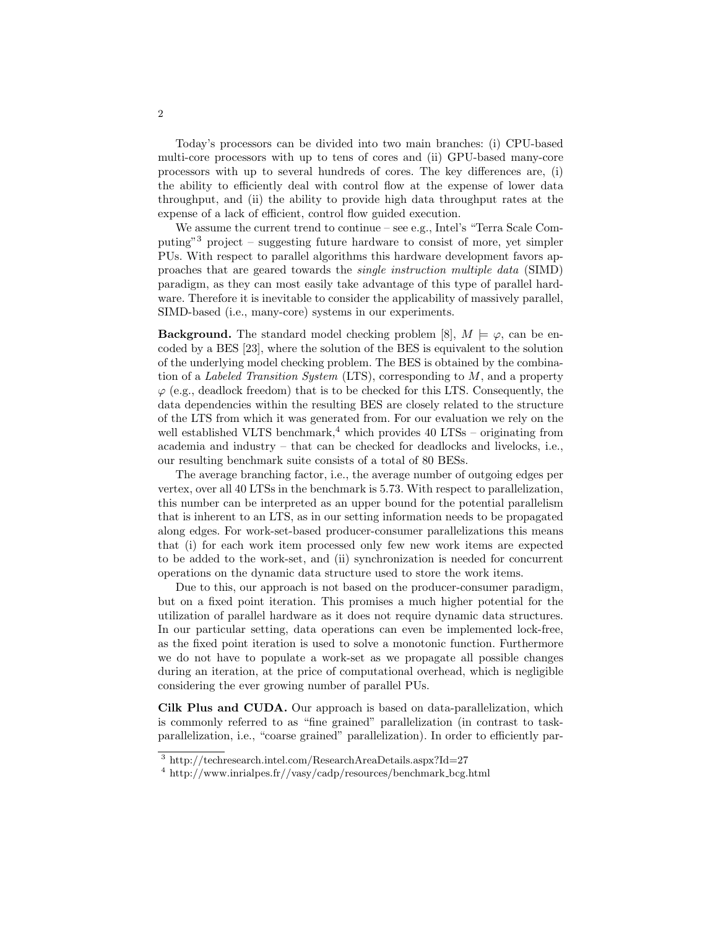Today's processors can be divided into two main branches: (i) CPU-based multi-core processors with up to tens of cores and (ii) GPU-based many-core processors with up to several hundreds of cores. The key differences are, (i) the ability to efficiently deal with control flow at the expense of lower data throughput, and (ii) the ability to provide high data throughput rates at the expense of a lack of efficient, control flow guided execution.

We assume the current trend to continue – see e.g., Intel's "Terra Scale Computing"<sup>3</sup> project – suggesting future hardware to consist of more, yet simpler PUs. With respect to parallel algorithms this hardware development favors approaches that are geared towards the single instruction multiple data (SIMD) paradigm, as they can most easily take advantage of this type of parallel hardware. Therefore it is inevitable to consider the applicability of massively parallel, SIMD-based (i.e., many-core) systems in our experiments.

**Background.** The standard model checking problem [8],  $M \models \varphi$ , can be encoded by a BES [23], where the solution of the BES is equivalent to the solution of the underlying model checking problem. The BES is obtained by the combination of a Labeled Transition System  $(LTS)$ , corresponding to M, and a property  $\varphi$  (e.g., deadlock freedom) that is to be checked for this LTS. Consequently, the data dependencies within the resulting BES are closely related to the structure of the LTS from which it was generated from. For our evaluation we rely on the well established VLTS benchmark, $4$  which provides 40 LTSs – originating from academia and industry – that can be checked for deadlocks and livelocks, i.e., our resulting benchmark suite consists of a total of 80 BESs.

The average branching factor, i.e., the average number of outgoing edges per vertex, over all 40 LTSs in the benchmark is 5.73. With respect to parallelization, this number can be interpreted as an upper bound for the potential parallelism that is inherent to an LTS, as in our setting information needs to be propagated along edges. For work-set-based producer-consumer parallelizations this means that (i) for each work item processed only few new work items are expected to be added to the work-set, and (ii) synchronization is needed for concurrent operations on the dynamic data structure used to store the work items.

Due to this, our approach is not based on the producer-consumer paradigm, but on a fixed point iteration. This promises a much higher potential for the utilization of parallel hardware as it does not require dynamic data structures. In our particular setting, data operations can even be implemented lock-free, as the fixed point iteration is used to solve a monotonic function. Furthermore we do not have to populate a work-set as we propagate all possible changes during an iteration, at the price of computational overhead, which is negligible considering the ever growing number of parallel PUs.

Cilk Plus and CUDA. Our approach is based on data-parallelization, which is commonly referred to as "fine grained" parallelization (in contrast to taskparallelization, i.e., "coarse grained" parallelization). In order to efficiently par-

<sup>3</sup> http://techresearch.intel.com/ResearchAreaDetails.aspx?Id=27

 $4 \text{ http://www.inrialpes.fr//vasy/cadp/resources/benchmark_bcg.html}$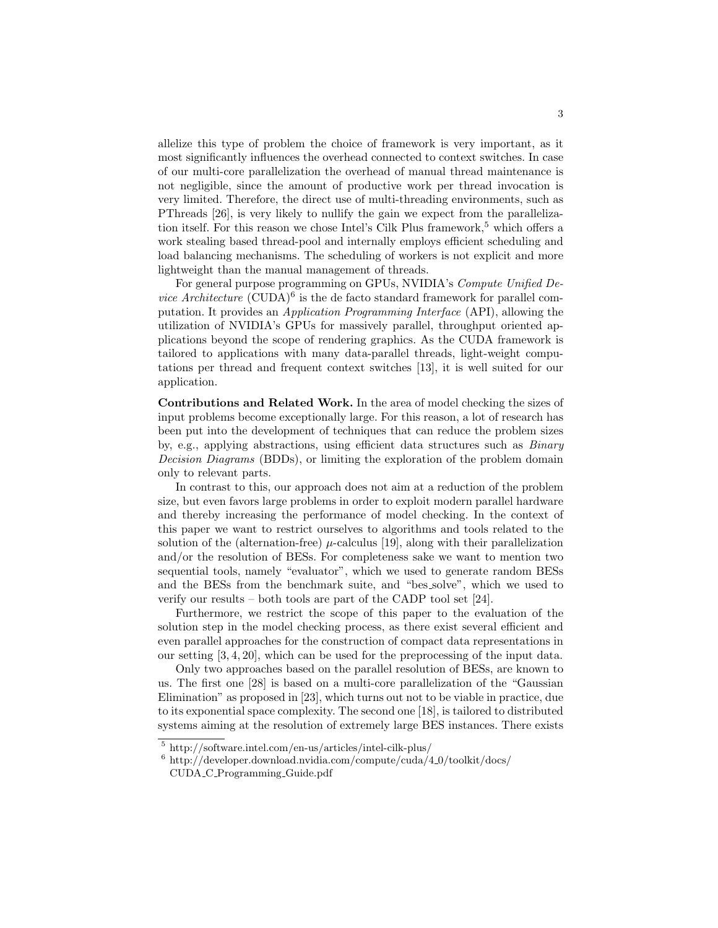allelize this type of problem the choice of framework is very important, as it most significantly influences the overhead connected to context switches. In case of our multi-core parallelization the overhead of manual thread maintenance is not negligible, since the amount of productive work per thread invocation is very limited. Therefore, the direct use of multi-threading environments, such as PThreads [26], is very likely to nullify the gain we expect from the parallelization itself. For this reason we chose Intel's Cilk Plus framework,  $5$  which offers a work stealing based thread-pool and internally employs efficient scheduling and load balancing mechanisms. The scheduling of workers is not explicit and more lightweight than the manual management of threads.

For general purpose programming on GPUs, NVIDIA's Compute Unified De*vice Architecture* (CUDA) $^6$  is the de facto standard framework for parallel computation. It provides an Application Programming Interface (API), allowing the utilization of NVIDIA's GPUs for massively parallel, throughput oriented applications beyond the scope of rendering graphics. As the CUDA framework is tailored to applications with many data-parallel threads, light-weight computations per thread and frequent context switches [13], it is well suited for our application.

Contributions and Related Work. In the area of model checking the sizes of input problems become exceptionally large. For this reason, a lot of research has been put into the development of techniques that can reduce the problem sizes by, e.g., applying abstractions, using efficient data structures such as Binary Decision Diagrams (BDDs), or limiting the exploration of the problem domain only to relevant parts.

In contrast to this, our approach does not aim at a reduction of the problem size, but even favors large problems in order to exploit modern parallel hardware and thereby increasing the performance of model checking. In the context of this paper we want to restrict ourselves to algorithms and tools related to the solution of the (alternation-free)  $\mu$ -calculus [19], along with their parallelization and/or the resolution of BESs. For completeness sake we want to mention two sequential tools, namely "evaluator", which we used to generate random BESs and the BESs from the benchmark suite, and "bes solve", which we used to verify our results – both tools are part of the CADP tool set [24].

Furthermore, we restrict the scope of this paper to the evaluation of the solution step in the model checking process, as there exist several efficient and even parallel approaches for the construction of compact data representations in our setting [3, 4, 20], which can be used for the preprocessing of the input data.

Only two approaches based on the parallel resolution of BESs, are known to us. The first one [28] is based on a multi-core parallelization of the "Gaussian Elimination" as proposed in [23], which turns out not to be viable in practice, due to its exponential space complexity. The second one [18], is tailored to distributed systems aiming at the resolution of extremely large BES instances. There exists

<sup>5</sup> http://software.intel.com/en-us/articles/intel-cilk-plus/

 $6$  http://developer.download.nvidia.com/compute/cuda/4\_0/toolkit/docs/ CUDA C Programming Guide.pdf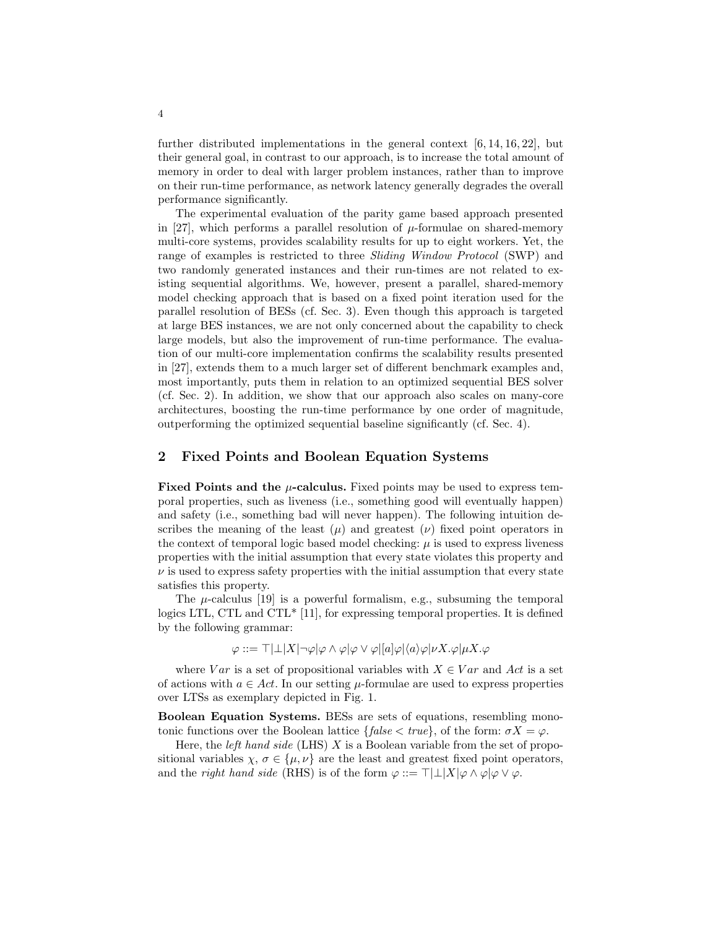further distributed implementations in the general context  $[6, 14, 16, 22]$ , but their general goal, in contrast to our approach, is to increase the total amount of memory in order to deal with larger problem instances, rather than to improve on their run-time performance, as network latency generally degrades the overall performance significantly.

The experimental evaluation of the parity game based approach presented in [27], which performs a parallel resolution of  $\mu$ -formulae on shared-memory multi-core systems, provides scalability results for up to eight workers. Yet, the range of examples is restricted to three Sliding Window Protocol (SWP) and two randomly generated instances and their run-times are not related to existing sequential algorithms. We, however, present a parallel, shared-memory model checking approach that is based on a fixed point iteration used for the parallel resolution of BESs (cf. Sec. 3). Even though this approach is targeted at large BES instances, we are not only concerned about the capability to check large models, but also the improvement of run-time performance. The evaluation of our multi-core implementation confirms the scalability results presented in [27], extends them to a much larger set of different benchmark examples and, most importantly, puts them in relation to an optimized sequential BES solver (cf. Sec. 2). In addition, we show that our approach also scales on many-core architectures, boosting the run-time performance by one order of magnitude, outperforming the optimized sequential baseline significantly (cf. Sec. 4).

# 2 Fixed Points and Boolean Equation Systems

**Fixed Points and the**  $\mu$ **-calculus.** Fixed points may be used to express temporal properties, such as liveness (i.e., something good will eventually happen) and safety (i.e., something bad will never happen). The following intuition describes the meaning of the least  $(\mu)$  and greatest  $(\nu)$  fixed point operators in the context of temporal logic based model checking:  $\mu$  is used to express liveness properties with the initial assumption that every state violates this property and  $\nu$  is used to express safety properties with the initial assumption that every state satisfies this property.

The  $\mu$ -calculus [19] is a powerful formalism, e.g., subsuming the temporal logics LTL, CTL and CTL\* [11], for expressing temporal properties. It is defined by the following grammar:

 $\varphi ::= \top | \bot | X | \neg \varphi | \varphi \wedge \varphi | \varphi \vee \varphi | [a] \varphi | \langle a \rangle \varphi | \nu X. \varphi | \mu X. \varphi$ 

where  $Var$  is a set of propositional variables with  $X \in Var$  and Act is a set of actions with  $a \in Act$ . In our setting  $\mu$ -formulae are used to express properties over LTSs as exemplary depicted in Fig. 1.

Boolean Equation Systems. BESs are sets of equations, resembling monotonic functions over the Boolean lattice  ${false < true}$ , of the form:  $\sigma X = \varphi$ .

Here, the *left hand side* (LHS) X is a Boolean variable from the set of propositional variables  $\chi, \sigma \in {\{\mu, \nu\}}$  are the least and greatest fixed point operators, and the *right hand side* (RHS) is of the form  $\varphi ::= \top | \bot | X | \varphi \wedge \varphi | \varphi \vee \varphi$ .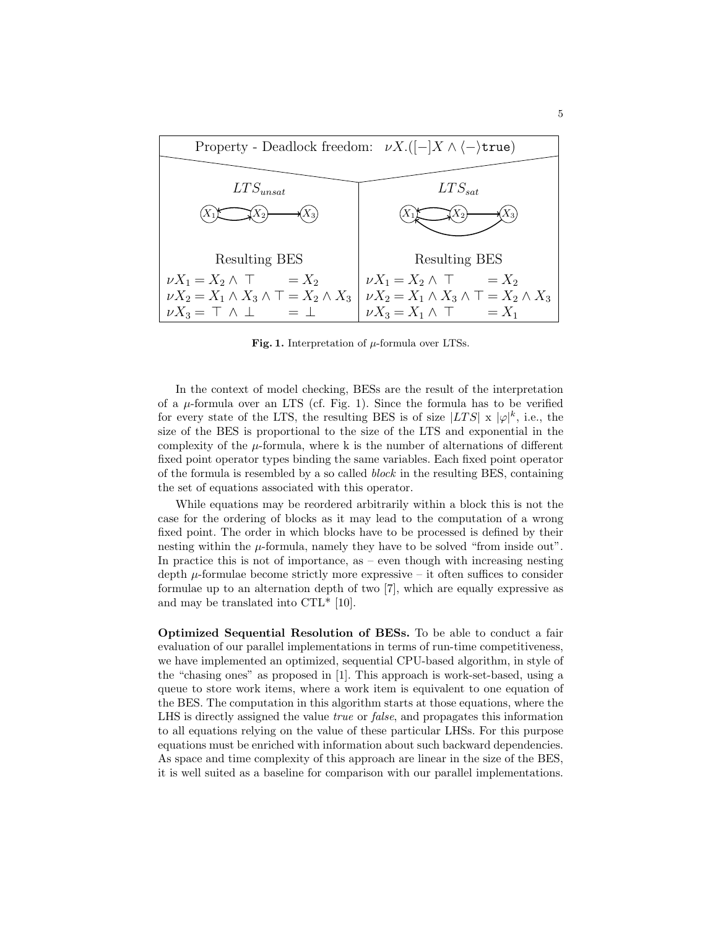

Fig. 1. Interpretation of  $\mu$ -formula over LTSs.

In the context of model checking, BESs are the result of the interpretation of a  $\mu$ -formula over an LTS (cf. Fig. 1). Since the formula has to be verified for every state of the LTS, the resulting BES is of size  $|LTS| \times |\varphi|^k$ , i.e., the size of the BES is proportional to the size of the LTS and exponential in the complexity of the  $\mu$ -formula, where k is the number of alternations of different fixed point operator types binding the same variables. Each fixed point operator of the formula is resembled by a so called block in the resulting BES, containing the set of equations associated with this operator.

While equations may be reordered arbitrarily within a block this is not the case for the ordering of blocks as it may lead to the computation of a wrong fixed point. The order in which blocks have to be processed is defined by their nesting within the  $\mu$ -formula, namely they have to be solved "from inside out". In practice this is not of importance, as  $-$  even though with increasing nesting depth  $\mu$ -formulae become strictly more expressive – it often suffices to consider formulae up to an alternation depth of two [7], which are equally expressive as and may be translated into CTL\* [10].

Optimized Sequential Resolution of BESs. To be able to conduct a fair evaluation of our parallel implementations in terms of run-time competitiveness, we have implemented an optimized, sequential CPU-based algorithm, in style of the "chasing ones" as proposed in [1]. This approach is work-set-based, using a queue to store work items, where a work item is equivalent to one equation of the BES. The computation in this algorithm starts at those equations, where the LHS is directly assigned the value true or false, and propagates this information to all equations relying on the value of these particular LHSs. For this purpose equations must be enriched with information about such backward dependencies. As space and time complexity of this approach are linear in the size of the BES, it is well suited as a baseline for comparison with our parallel implementations.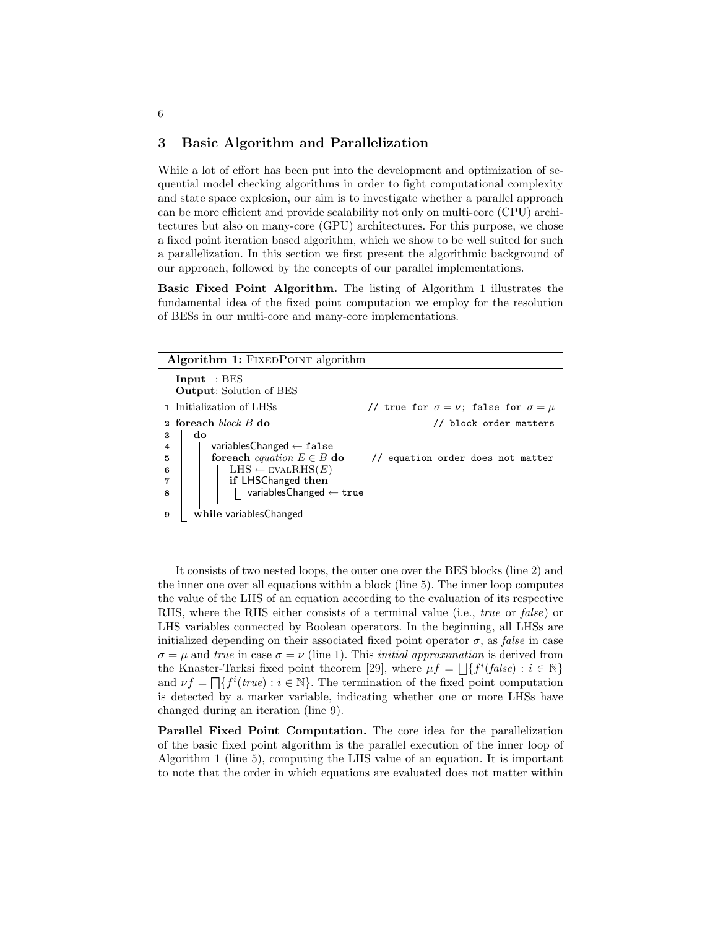### 3 Basic Algorithm and Parallelization

While a lot of effort has been put into the development and optimization of sequential model checking algorithms in order to fight computational complexity and state space explosion, our aim is to investigate whether a parallel approach can be more efficient and provide scalability not only on multi-core (CPU) architectures but also on many-core (GPU) architectures. For this purpose, we chose a fixed point iteration based algorithm, which we show to be well suited for such a parallelization. In this section we first present the algorithmic background of our approach, followed by the concepts of our parallel implementations.

Basic Fixed Point Algorithm. The listing of Algorithm 1 illustrates the fundamental idea of the fixed point computation we employ for the resolution of BESs in our multi-core and many-core implementations.

| <b>Algorithm 1:</b> FIXEDPOINT algorithm |                                                                         |                                                       |  |  |  |  |  |  |  |  |
|------------------------------------------|-------------------------------------------------------------------------|-------------------------------------------------------|--|--|--|--|--|--|--|--|
| Input : BES                              | <b>Output:</b> Solution of BES                                          |                                                       |  |  |  |  |  |  |  |  |
|                                          | 1 Initialization of LHSs                                                | // true for $\sigma = \nu$ ; false for $\sigma = \mu$ |  |  |  |  |  |  |  |  |
| do<br>3                                  | 2 foreach $block$ $B$ do                                                | // block order matters                                |  |  |  |  |  |  |  |  |
| $\overline{\bf 4}$                       | variables Changed $\leftarrow$ false                                    |                                                       |  |  |  |  |  |  |  |  |
| 5<br>6                                   | for each <i>equation</i> $E \in B$ do<br>$LHS \leftarrow$ EVALRHS $(E)$ | // equation order does not matter                     |  |  |  |  |  |  |  |  |
| 7                                        | if LHSChanged then                                                      |                                                       |  |  |  |  |  |  |  |  |
| 8                                        | variablesChanged $\leftarrow$ true                                      |                                                       |  |  |  |  |  |  |  |  |
| 9                                        | while variablesChanged                                                  |                                                       |  |  |  |  |  |  |  |  |

It consists of two nested loops, the outer one over the BES blocks (line 2) and the inner one over all equations within a block (line 5). The inner loop computes the value of the LHS of an equation according to the evaluation of its respective RHS, where the RHS either consists of a terminal value (i.e., true or false) or LHS variables connected by Boolean operators. In the beginning, all LHSs are initialized depending on their associated fixed point operator  $\sigma$ , as *false* in case  $\sigma = \mu$  and true in case  $\sigma = \nu$  (line 1). This *initial approximation* is derived from the Knaster-Tarksi fixed point theorem [29], where  $\mu f = \bigsqcup \{f^i(false) : i \in \mathbb{N}\}\$ and  $\nu f = \prod \{f^i(true) : i \in \mathbb{N}\}\.$  The termination of the fixed point computation is detected by a marker variable, indicating whether one or more LHSs have changed during an iteration (line 9).

Parallel Fixed Point Computation. The core idea for the parallelization of the basic fixed point algorithm is the parallel execution of the inner loop of Algorithm 1 (line 5), computing the LHS value of an equation. It is important to note that the order in which equations are evaluated does not matter within

6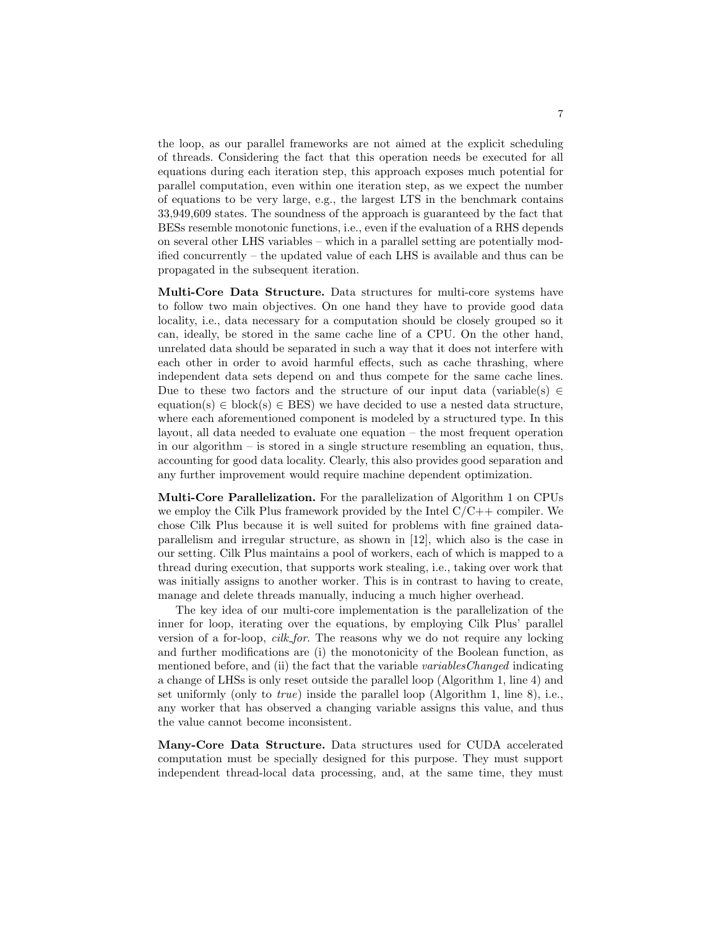the loop, as our parallel frameworks are not aimed at the explicit scheduling of threads. Considering the fact that this operation needs be executed for all equations during each iteration step, this approach exposes much potential for parallel computation, even within one iteration step, as we expect the number of equations to be very large, e.g., the largest LTS in the benchmark contains 33,949,609 states. The soundness of the approach is guaranteed by the fact that BESs resemble monotonic functions, i.e., even if the evaluation of a RHS depends on several other LHS variables – which in a parallel setting are potentially modified concurrently – the updated value of each LHS is available and thus can be propagated in the subsequent iteration.

Multi-Core Data Structure. Data structures for multi-core systems have to follow two main objectives. On one hand they have to provide good data locality, i.e., data necessary for a computation should be closely grouped so it can, ideally, be stored in the same cache line of a CPU. On the other hand, unrelated data should be separated in such a way that it does not interfere with each other in order to avoid harmful effects, such as cache thrashing, where independent data sets depend on and thus compete for the same cache lines. Due to these two factors and the structure of our input data (variable(s)  $\in$ equation(s)  $\in$  block(s)  $\in$  BES) we have decided to use a nested data structure, where each aforementioned component is modeled by a structured type. In this layout, all data needed to evaluate one equation – the most frequent operation in our algorithm – is stored in a single structure resembling an equation, thus, accounting for good data locality. Clearly, this also provides good separation and any further improvement would require machine dependent optimization.

Multi-Core Parallelization. For the parallelization of Algorithm 1 on CPUs we employ the Cilk Plus framework provided by the Intel  $C/C++$  compiler. We chose Cilk Plus because it is well suited for problems with fine grained dataparallelism and irregular structure, as shown in [12], which also is the case in our setting. Cilk Plus maintains a pool of workers, each of which is mapped to a thread during execution, that supports work stealing, i.e., taking over work that was initially assigns to another worker. This is in contrast to having to create, manage and delete threads manually, inducing a much higher overhead.

The key idea of our multi-core implementation is the parallelization of the inner for loop, iterating over the equations, by employing Cilk Plus' parallel version of a for-loop, cilk for. The reasons why we do not require any locking and further modifications are (i) the monotonicity of the Boolean function, as mentioned before, and (ii) the fact that the variable variables Changed indicating a change of LHSs is only reset outside the parallel loop (Algorithm 1, line 4) and set uniformly (only to true) inside the parallel loop (Algorithm 1, line 8), i.e., any worker that has observed a changing variable assigns this value, and thus the value cannot become inconsistent.

Many-Core Data Structure. Data structures used for CUDA accelerated computation must be specially designed for this purpose. They must support independent thread-local data processing, and, at the same time, they must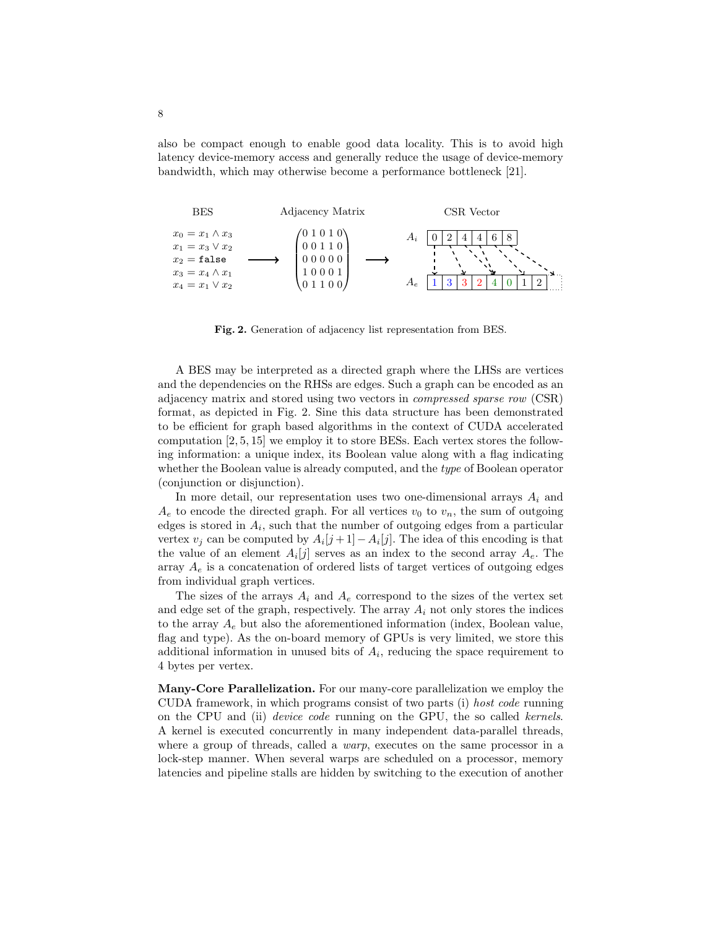also be compact enough to enable good data locality. This is to avoid high latency device-memory access and generally reduce the usage of device-memory bandwidth, which may otherwise become a performance bottleneck [21].



Fig. 2. Generation of adjacency list representation from BES.

A BES may be interpreted as a directed graph where the LHSs are vertices and the dependencies on the RHSs are edges. Such a graph can be encoded as an adjacency matrix and stored using two vectors in compressed sparse row (CSR) format, as depicted in Fig. 2. Sine this data structure has been demonstrated to be efficient for graph based algorithms in the context of CUDA accelerated computation [2, 5, 15] we employ it to store BESs. Each vertex stores the following information: a unique index, its Boolean value along with a flag indicating whether the Boolean value is already computed, and the *type* of Boolean operator (conjunction or disjunction).

In more detail, our representation uses two one-dimensional arrays  $A_i$  and  $A_e$  to encode the directed graph. For all vertices  $v_0$  to  $v_n$ , the sum of outgoing edges is stored in  $A_i$ , such that the number of outgoing edges from a particular vertex  $v_j$  can be computed by  $A_i[j+1] - A_i[j]$ . The idea of this encoding is that the value of an element  $A_i[j]$  serves as an index to the second array  $A_e$ . The array  $A_e$  is a concatenation of ordered lists of target vertices of outgoing edges from individual graph vertices.

The sizes of the arrays  $A_i$  and  $A_e$  correspond to the sizes of the vertex set and edge set of the graph, respectively. The array  $A_i$  not only stores the indices to the array  $A_e$  but also the aforementioned information (index, Boolean value, flag and type). As the on-board memory of GPUs is very limited, we store this additional information in unused bits of  $A_i$ , reducing the space requirement to 4 bytes per vertex.

Many-Core Parallelization. For our many-core parallelization we employ the CUDA framework, in which programs consist of two parts (i) host code running on the CPU and (ii) device code running on the GPU, the so called kernels. A kernel is executed concurrently in many independent data-parallel threads, where a group of threads, called a *warp*, executes on the same processor in a lock-step manner. When several warps are scheduled on a processor, memory latencies and pipeline stalls are hidden by switching to the execution of another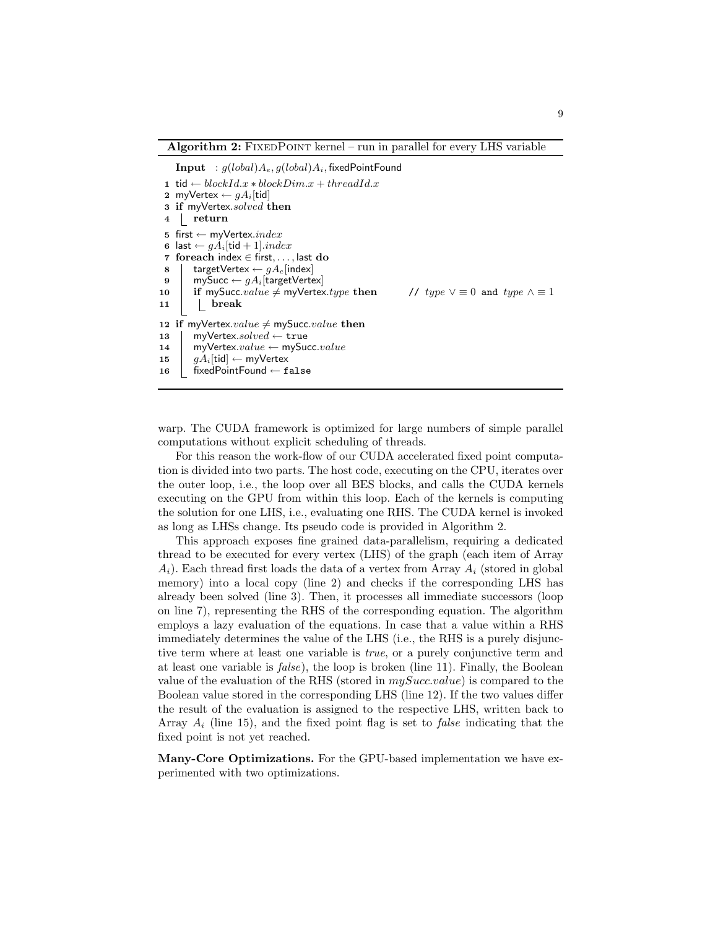Algorithm  $2$ : FIXEDPOINT kernel – run in parallel for every LHS variable

Input :  $g(lobal)A_e$ ,  $g(lobal)A_i$ , fixedPointFound

1 tid ← blockId.x \* blockDim.x + threadId.x 2 myVertex  $\leftarrow qA_i$ [tid] 3 if myVertex.solved then 4 return 5 first  $\leftarrow$  myVertex.index 6 last  $\leftarrow gA_i[\text{tid} + 1].index$ 7 foreach index ∈ first, . . . , last do 8 | targetVertex  $\leftarrow gA_e$ [index] 9 mySucc  $\leftarrow gA_i$ [targetVertex] 10 if mySucc.value  $\neq$  myVertex.type then // type  $\vee \equiv 0$  and type  $\wedge \equiv 1$  $11$  break 12 if myVertex.*value*  $\neq$  mySucc.*value* then 13 | myVertex.solved  $\leftarrow$  true 14 myVertex.value  $\leftarrow$  mySucc.value 15  $\int qA_i[\text{tid}] \leftarrow m\gamma\text{Vertex}$ 16 fixedPointFound ← false

warp. The CUDA framework is optimized for large numbers of simple parallel computations without explicit scheduling of threads.

For this reason the work-flow of our CUDA accelerated fixed point computation is divided into two parts. The host code, executing on the CPU, iterates over the outer loop, i.e., the loop over all BES blocks, and calls the CUDA kernels executing on the GPU from within this loop. Each of the kernels is computing the solution for one LHS, i.e., evaluating one RHS. The CUDA kernel is invoked as long as LHSs change. Its pseudo code is provided in Algorithm 2.

This approach exposes fine grained data-parallelism, requiring a dedicated thread to be executed for every vertex (LHS) of the graph (each item of Array  $A_i$ ). Each thread first loads the data of a vertex from Array  $A_i$  (stored in global memory) into a local copy (line 2) and checks if the corresponding LHS has already been solved (line 3). Then, it processes all immediate successors (loop on line 7), representing the RHS of the corresponding equation. The algorithm employs a lazy evaluation of the equations. In case that a value within a RHS immediately determines the value of the LHS (i.e., the RHS is a purely disjunctive term where at least one variable is *true*, or a purely conjunctive term and at least one variable is  $false$ ), the loop is broken (line 11). Finally, the Boolean value of the evaluation of the RHS (stored in  $mySucc.value$ ) is compared to the Boolean value stored in the corresponding LHS (line 12). If the two values differ the result of the evaluation is assigned to the respective LHS, written back to Array  $A_i$  (line 15), and the fixed point flag is set to *false* indicating that the fixed point is not yet reached.

Many-Core Optimizations. For the GPU-based implementation we have experimented with two optimizations.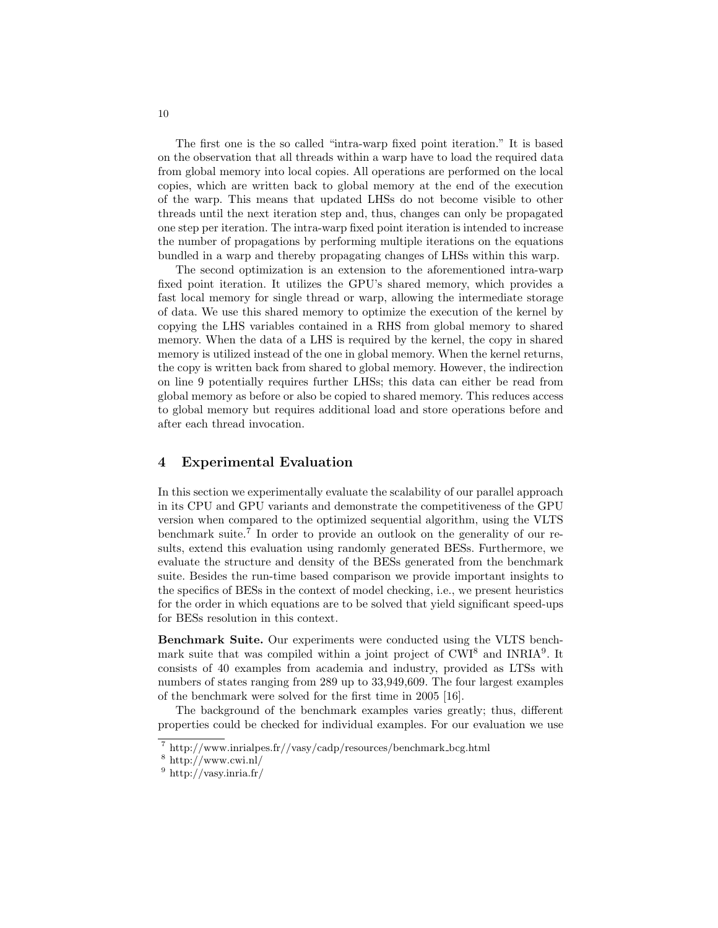The first one is the so called "intra-warp fixed point iteration." It is based on the observation that all threads within a warp have to load the required data from global memory into local copies. All operations are performed on the local copies, which are written back to global memory at the end of the execution of the warp. This means that updated LHSs do not become visible to other threads until the next iteration step and, thus, changes can only be propagated one step per iteration. The intra-warp fixed point iteration is intended to increase the number of propagations by performing multiple iterations on the equations bundled in a warp and thereby propagating changes of LHSs within this warp.

The second optimization is an extension to the aforementioned intra-warp fixed point iteration. It utilizes the GPU's shared memory, which provides a fast local memory for single thread or warp, allowing the intermediate storage of data. We use this shared memory to optimize the execution of the kernel by copying the LHS variables contained in a RHS from global memory to shared memory. When the data of a LHS is required by the kernel, the copy in shared memory is utilized instead of the one in global memory. When the kernel returns, the copy is written back from shared to global memory. However, the indirection on line 9 potentially requires further LHSs; this data can either be read from global memory as before or also be copied to shared memory. This reduces access to global memory but requires additional load and store operations before and after each thread invocation.

## 4 Experimental Evaluation

In this section we experimentally evaluate the scalability of our parallel approach in its CPU and GPU variants and demonstrate the competitiveness of the GPU version when compared to the optimized sequential algorithm, using the VLTS benchmark suite.<sup>7</sup> In order to provide an outlook on the generality of our results, extend this evaluation using randomly generated BESs. Furthermore, we evaluate the structure and density of the BESs generated from the benchmark suite. Besides the run-time based comparison we provide important insights to the specifics of BESs in the context of model checking, i.e., we present heuristics for the order in which equations are to be solved that yield significant speed-ups for BESs resolution in this context.

Benchmark Suite. Our experiments were conducted using the VLTS benchmark suite that was compiled within a joint project of CWI<sup>8</sup> and INRIA<sup>9</sup>. It consists of 40 examples from academia and industry, provided as LTSs with numbers of states ranging from 289 up to 33,949,609. The four largest examples of the benchmark were solved for the first time in 2005 [16].

The background of the benchmark examples varies greatly; thus, different properties could be checked for individual examples. For our evaluation we use

 $^7$ http://www.inrialpes.fr//vasy/cadp/resources/benchmark\_bcg.html

 $8 \text{ http://www.cwi.nl/}$ 

 $9 \text{ http://vasy.inria.fr/}$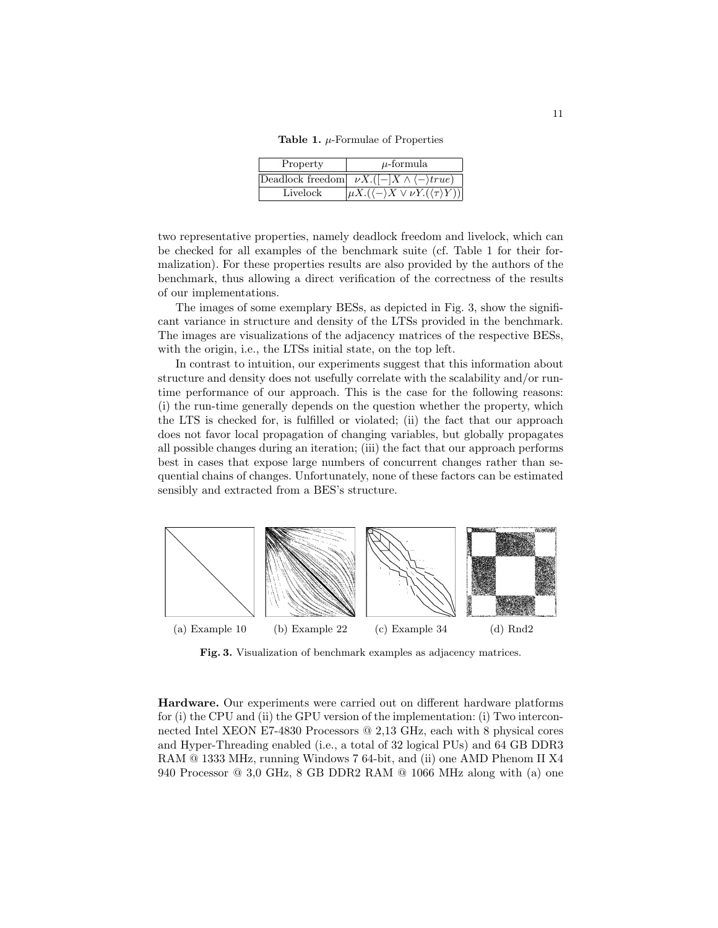Table 1.  $\mu$ -Formulae of Properties

| Property | $\mu$ -formula                                                      |
|----------|---------------------------------------------------------------------|
|          | Deadlock freedom $\nu X.([-X \wedge \langle - \rangle true)$        |
| Livelock | $ \mu X.(\langle - \rangle X \vee \nu Y.(\langle \tau \rangle Y)) $ |

two representative properties, namely deadlock freedom and livelock, which can be checked for all examples of the benchmark suite (cf. Table 1 for their formalization). For these properties results are also provided by the authors of the benchmark, thus allowing a direct verification of the correctness of the results of our implementations.

The images of some exemplary BESs, as depicted in Fig. 3, show the significant variance in structure and density of the LTSs provided in the benchmark. The images are visualizations of the adjacency matrices of the respective BESs, with the origin, i.e., the LTSs initial state, on the top left.

In contrast to intuition, our experiments suggest that this information about structure and density does not usefully correlate with the scalability and/or runtime performance of our approach. This is the case for the following reasons: (i) the run-time generally depends on the question whether the property, which the LTS is checked for, is fulfilled or violated; (ii) the fact that our approach does not favor local propagation of changing variables, but globally propagates all possible changes during an iteration; (iii) the fact that our approach performs best in cases that expose large numbers of concurrent changes rather than sequential chains of changes. Unfortunately, none of these factors can be estimated sensibly and extracted from a BES's structure.



Fig. 3. Visualization of benchmark examples as adjacency matrices.

Hardware. Our experiments were carried out on different hardware platforms for (i) the CPU and (ii) the GPU version of the implementation: (i) Two interconnected Intel XEON E7-4830 Processors @ 2,13 GHz, each with 8 physical cores and Hyper-Threading enabled (i.e., a total of 32 logical PUs) and 64 GB DDR3 RAM @ 1333 MHz, running Windows 7 64-bit, and (ii) one AMD Phenom II X4 940 Processor @ 3,0 GHz, 8 GB DDR2 RAM @ 1066 MHz along with (a) one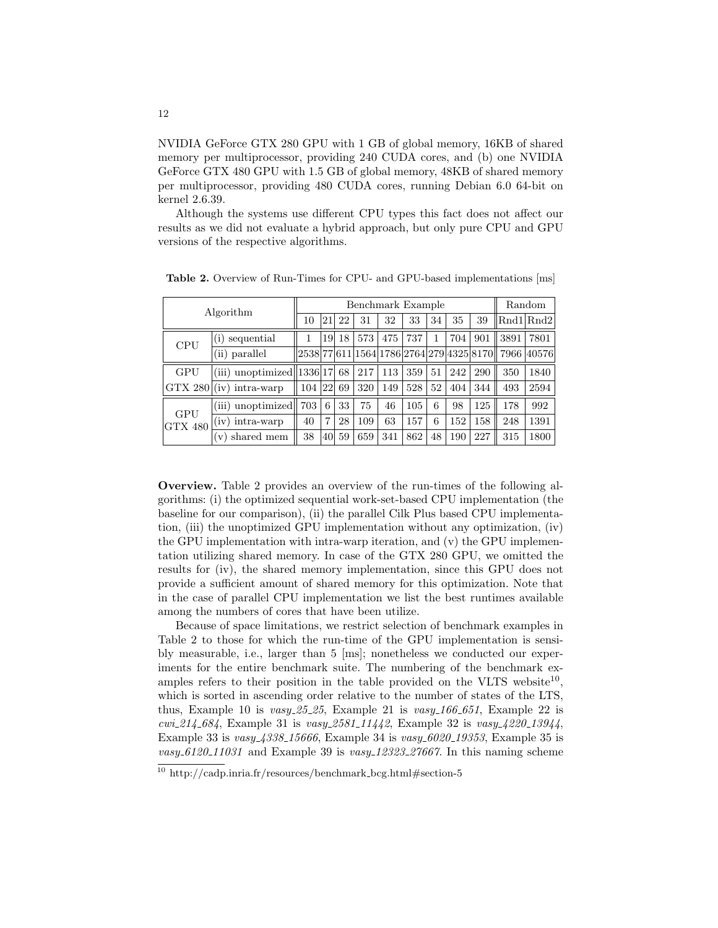NVIDIA GeForce GTX 280 GPU with 1 GB of global memory, 16KB of shared memory per multiprocessor, providing 240 CUDA cores, and (b) one NVIDIA GeForce GTX 480 GPU with 1.5 GB of global memory, 48KB of shared memory per multiprocessor, providing 480 CUDA cores, running Debian 6.0 64-bit on kernel 2.6.39.

Although the systems use different CPU types this fact does not affect our results as we did not evaluate a hybrid approach, but only pure CPU and GPU versions of the respective algorithms.

| Algorithm                    |                               |        |                | Random |     |     |     |    |     |     |                                                |           |
|------------------------------|-------------------------------|--------|----------------|--------|-----|-----|-----|----|-----|-----|------------------------------------------------|-----------|
|                              |                               | 10     | 21             | 22     | 31  | 32  | 33  | 34 | 35  | 39  |                                                | Rnd1 Rnd2 |
| <b>CPU</b>                   | sequential<br>(i)             |        | 19             | 18     | 573 | 475 | 737 |    | 704 | 901 | 3891                                           | 7801      |
|                              | (ii) parallel                 |        |                |        |     |     |     |    |     |     | 2538 77 611 1564 1786 2764 279 4325 8170  7966 | 40576     |
| <b>GPU</b>                   | (iii) unoptimized $ 1336 17 $ |        |                | 68     | 217 | 113 | 359 | 51 | 242 | 290 | 350                                            | 1840      |
| <b>GTX 280</b>               | $(iv)$ intra-warp             | 104 22 |                | 69     | 320 | 149 | 528 | 52 | 404 | 344 | 493                                            | 2594      |
| <b>GPU</b><br><b>GTX 480</b> | (iii) unoptimized             | 703    | 6              | 33     | 75  | 46  | 105 | 6  | 98  | 125 | 178                                            | 992       |
|                              | $(iv)$ intra-warp             | 40     | $\overline{7}$ | 28     | 109 | 63  | 157 | 6  | 152 | 158 | 248                                            | 1391      |
|                              | shared mem<br>$\mathbf{V}$    | 38     | 40             | 59     | 659 | 341 | 862 | 48 | 190 | 227 | 315                                            | 1800      |

Table 2. Overview of Run-Times for CPU- and GPU-based implementations [ms]

Overview. Table 2 provides an overview of the run-times of the following algorithms: (i) the optimized sequential work-set-based CPU implementation (the baseline for our comparison), (ii) the parallel Cilk Plus based CPU implementation, (iii) the unoptimized GPU implementation without any optimization, (iv) the GPU implementation with intra-warp iteration, and (v) the GPU implementation utilizing shared memory. In case of the GTX 280 GPU, we omitted the results for (iv), the shared memory implementation, since this GPU does not provide a sufficient amount of shared memory for this optimization. Note that in the case of parallel CPU implementation we list the best runtimes available among the numbers of cores that have been utilize.

Because of space limitations, we restrict selection of benchmark examples in Table 2 to those for which the run-time of the GPU implementation is sensibly measurable, i.e., larger than 5 [ms]; nonetheless we conducted our experiments for the entire benchmark suite. The numbering of the benchmark examples refers to their position in the table provided on the VLTS website<sup>10</sup>, which is sorted in ascending order relative to the number of states of the LTS, thus, Example 10 is  $vasy_225_225$ , Example 21 is  $vasy_166_2651$ , Example 22 is  $cwi.214.684$ , Example 31 is  $vasy.2581.11442$ , Example 32 is  $vasy.4220.13944$ , Example 33 is  $vasy_4338_15666$ , Example 34 is  $vasy_6020_19353$ , Example 35 is  $vasy_06120_011031$  and Example 39 is  $vasy_012323_027667$ . In this naming scheme

 $\frac{10 \text{ http://cadp.inria.fr/resource/benchmark_bcg.html#section-5}}{10 \text{ http://cadp.inria.fr/resource/benchmark_bcg.html#section-5}}$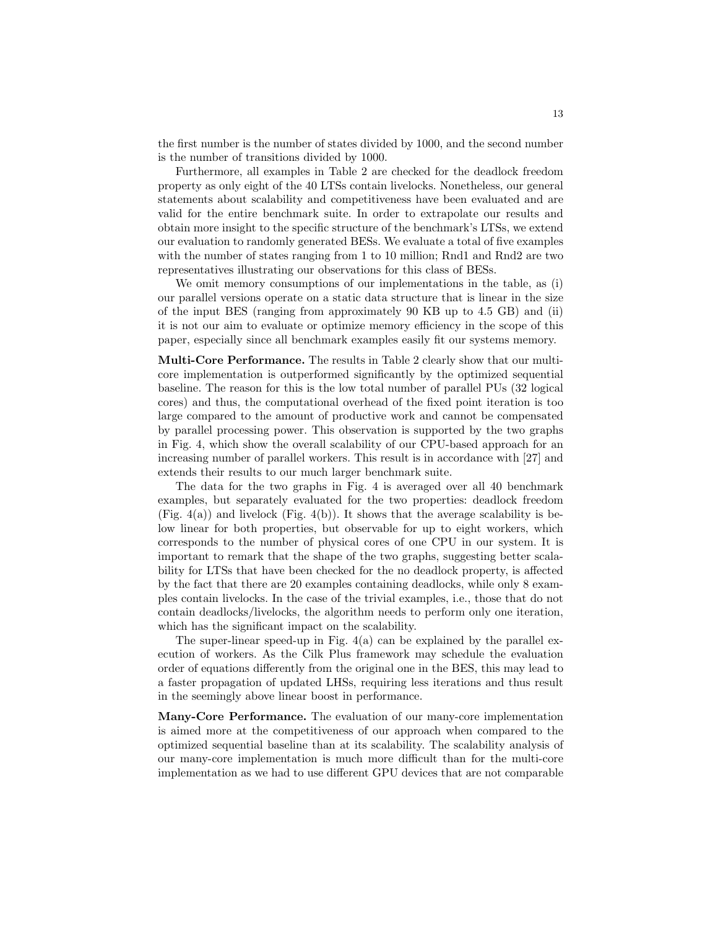the first number is the number of states divided by 1000, and the second number is the number of transitions divided by 1000.

Furthermore, all examples in Table 2 are checked for the deadlock freedom property as only eight of the 40 LTSs contain livelocks. Nonetheless, our general statements about scalability and competitiveness have been evaluated and are valid for the entire benchmark suite. In order to extrapolate our results and obtain more insight to the specific structure of the benchmark's LTSs, we extend our evaluation to randomly generated BESs. We evaluate a total of five examples with the number of states ranging from 1 to 10 million; Rnd1 and Rnd2 are two representatives illustrating our observations for this class of BESs.

We omit memory consumptions of our implementations in the table, as (i) our parallel versions operate on a static data structure that is linear in the size of the input BES (ranging from approximately 90 KB up to 4.5 GB) and (ii) it is not our aim to evaluate or optimize memory efficiency in the scope of this paper, especially since all benchmark examples easily fit our systems memory.

Multi-Core Performance. The results in Table 2 clearly show that our multicore implementation is outperformed significantly by the optimized sequential baseline. The reason for this is the low total number of parallel PUs (32 logical cores) and thus, the computational overhead of the fixed point iteration is too large compared to the amount of productive work and cannot be compensated by parallel processing power. This observation is supported by the two graphs in Fig. 4, which show the overall scalability of our CPU-based approach for an increasing number of parallel workers. This result is in accordance with [27] and extends their results to our much larger benchmark suite.

The data for the two graphs in Fig. 4 is averaged over all 40 benchmark examples, but separately evaluated for the two properties: deadlock freedom (Fig. 4(a)) and livelock (Fig. 4(b)). It shows that the average scalability is below linear for both properties, but observable for up to eight workers, which corresponds to the number of physical cores of one CPU in our system. It is important to remark that the shape of the two graphs, suggesting better scalability for LTSs that have been checked for the no deadlock property, is affected by the fact that there are 20 examples containing deadlocks, while only 8 examples contain livelocks. In the case of the trivial examples, i.e., those that do not contain deadlocks/livelocks, the algorithm needs to perform only one iteration, which has the significant impact on the scalability.

The super-linear speed-up in Fig. 4(a) can be explained by the parallel execution of workers. As the Cilk Plus framework may schedule the evaluation order of equations differently from the original one in the BES, this may lead to a faster propagation of updated LHSs, requiring less iterations and thus result in the seemingly above linear boost in performance.

Many-Core Performance. The evaluation of our many-core implementation is aimed more at the competitiveness of our approach when compared to the optimized sequential baseline than at its scalability. The scalability analysis of our many-core implementation is much more difficult than for the multi-core implementation as we had to use different GPU devices that are not comparable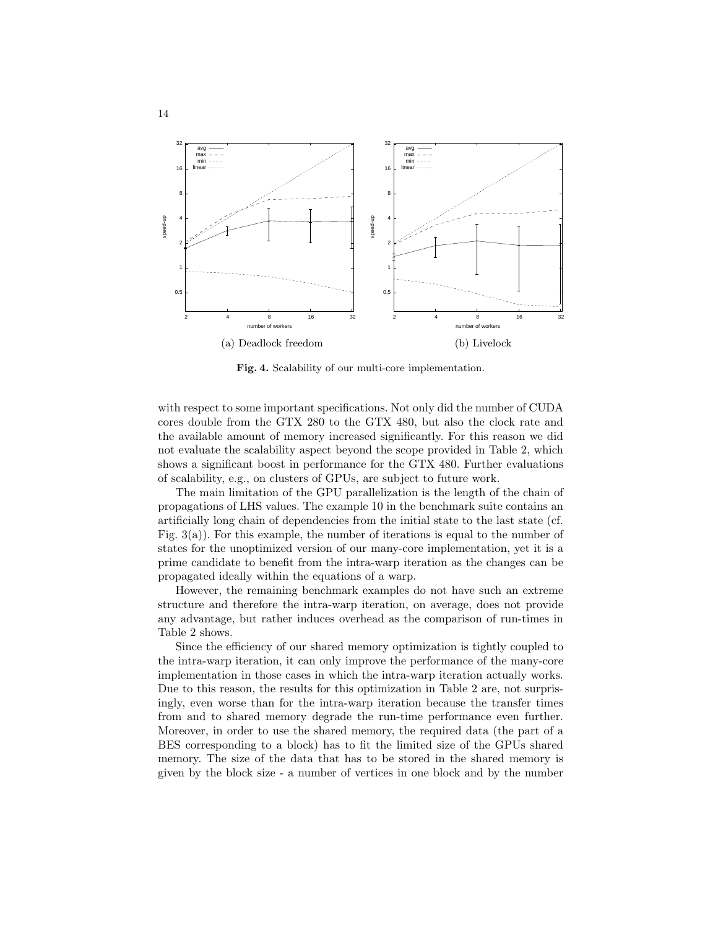

Fig. 4. Scalability of our multi-core implementation.

with respect to some important specifications. Not only did the number of CUDA cores double from the GTX 280 to the GTX 480, but also the clock rate and the available amount of memory increased significantly. For this reason we did not evaluate the scalability aspect beyond the scope provided in Table 2, which shows a significant boost in performance for the GTX 480. Further evaluations of scalability, e.g., on clusters of GPUs, are subject to future work.

The main limitation of the GPU parallelization is the length of the chain of propagations of LHS values. The example 10 in the benchmark suite contains an artificially long chain of dependencies from the initial state to the last state (cf. Fig. 3(a)). For this example, the number of iterations is equal to the number of states for the unoptimized version of our many-core implementation, yet it is a prime candidate to benefit from the intra-warp iteration as the changes can be propagated ideally within the equations of a warp.

However, the remaining benchmark examples do not have such an extreme structure and therefore the intra-warp iteration, on average, does not provide any advantage, but rather induces overhead as the comparison of run-times in Table 2 shows.

Since the efficiency of our shared memory optimization is tightly coupled to the intra-warp iteration, it can only improve the performance of the many-core implementation in those cases in which the intra-warp iteration actually works. Due to this reason, the results for this optimization in Table 2 are, not surprisingly, even worse than for the intra-warp iteration because the transfer times from and to shared memory degrade the run-time performance even further. Moreover, in order to use the shared memory, the required data (the part of a BES corresponding to a block) has to fit the limited size of the GPUs shared memory. The size of the data that has to be stored in the shared memory is given by the block size - a number of vertices in one block and by the number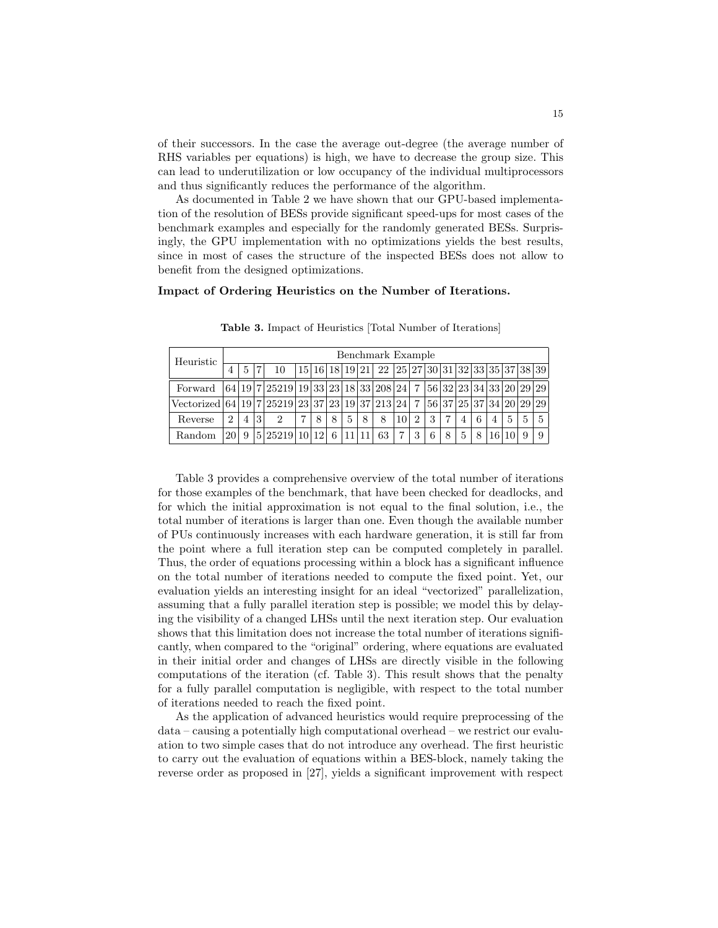of their successors. In the case the average out-degree (the average number of RHS variables per equations) is high, we have to decrease the group size. This can lead to underutilization or low occupancy of the individual multiprocessors and thus significantly reduces the performance of the algorithm.

As documented in Table 2 we have shown that our GPU-based implementation of the resolution of BESs provide significant speed-ups for most cases of the benchmark examples and especially for the randomly generated BESs. Surprisingly, the GPU implementation with no optimizations yields the best results, since in most of cases the structure of the inspected BESs does not allow to benefit from the designed optimizations.

#### Impact of Ordering Heuristics on the Number of Iterations.

| Heuristic                                          |                | Benchmark Example |   |                                          |   |   |   |    |   |                                                   |                 |                             |   |   |   |   |   |                         |   |             |
|----------------------------------------------------|----------------|-------------------|---|------------------------------------------|---|---|---|----|---|---------------------------------------------------|-----------------|-----------------------------|---|---|---|---|---|-------------------------|---|-------------|
|                                                    | 4              | $\mathbf{5}$      |   | 10                                       |   |   |   |    |   | $15 16 18 19 21 22 25 27 30 31 32 33 35 37 38 39$ |                 |                             |   |   |   |   |   |                         |   |             |
| Forward                                            |                |                   |   | $ 64 19 7 25219 19 33 23 18 33 208 24 7$ |   |   |   |    |   |                                                   |                 |                             |   |   |   |   |   | 56 32 23 34 33 20 29 29 |   |             |
| Vectorized $ 64 19 7 25219 23 37 23 19 37 213 24 $ |                |                   |   |                                          |   |   |   |    |   |                                                   |                 | $\overline{7}$              |   |   |   |   |   | 56 37 25 37 34 20 29 29 |   |             |
| Reverse                                            | $\overline{2}$ | 4                 | 3 | $\overline{2}$                           | 7 | 8 | 8 | 5  | 8 | 8                                                 | 10 <sup>1</sup> | $\mathcal{D}_{\mathcal{L}}$ | 3 |   | 4 | 6 | 4 | 5                       | 5 | $5^{\circ}$ |
| Random                                             | 120            | 9                 |   | 5 25219 10 12                            |   |   | 6 | 11 |   | 63                                                | 7               | 3                           | 6 | 8 | 5 | 8 |   |                         | 9 | 9           |

Table 3. Impact of Heuristics [Total Number of Iterations]

Table 3 provides a comprehensive overview of the total number of iterations for those examples of the benchmark, that have been checked for deadlocks, and for which the initial approximation is not equal to the final solution, i.e., the total number of iterations is larger than one. Even though the available number of PUs continuously increases with each hardware generation, it is still far from the point where a full iteration step can be computed completely in parallel. Thus, the order of equations processing within a block has a significant influence on the total number of iterations needed to compute the fixed point. Yet, our evaluation yields an interesting insight for an ideal "vectorized" parallelization, assuming that a fully parallel iteration step is possible; we model this by delaying the visibility of a changed LHSs until the next iteration step. Our evaluation shows that this limitation does not increase the total number of iterations significantly, when compared to the "original" ordering, where equations are evaluated in their initial order and changes of LHSs are directly visible in the following computations of the iteration (cf. Table 3). This result shows that the penalty for a fully parallel computation is negligible, with respect to the total number of iterations needed to reach the fixed point.

As the application of advanced heuristics would require preprocessing of the data – causing a potentially high computational overhead – we restrict our evaluation to two simple cases that do not introduce any overhead. The first heuristic to carry out the evaluation of equations within a BES-block, namely taking the reverse order as proposed in [27], yields a significant improvement with respect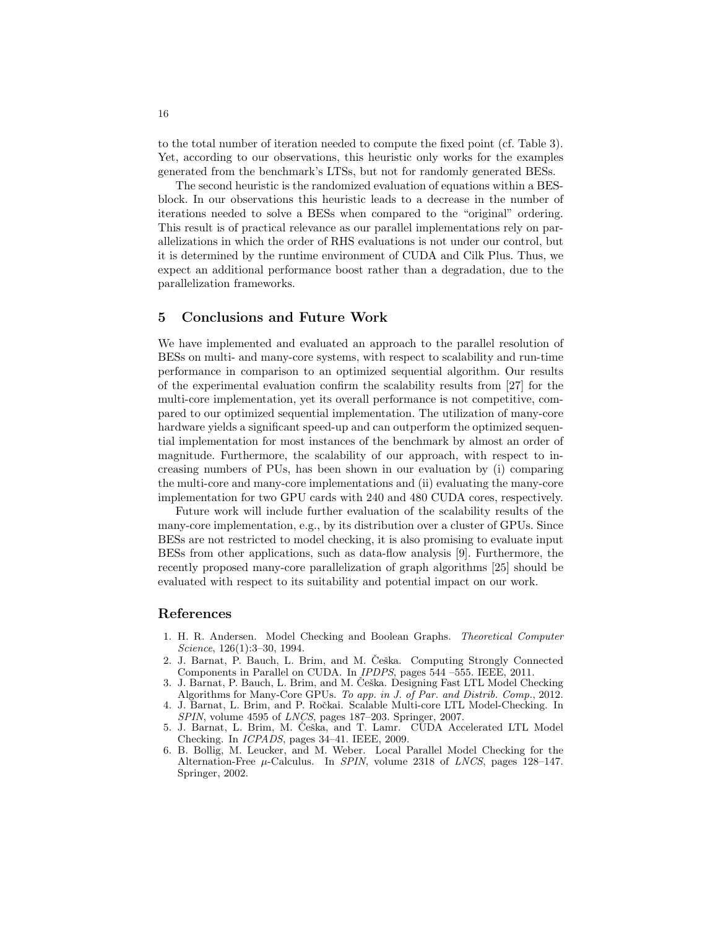to the total number of iteration needed to compute the fixed point (cf. Table 3). Yet, according to our observations, this heuristic only works for the examples generated from the benchmark's LTSs, but not for randomly generated BESs.

The second heuristic is the randomized evaluation of equations within a BESblock. In our observations this heuristic leads to a decrease in the number of iterations needed to solve a BESs when compared to the "original" ordering. This result is of practical relevance as our parallel implementations rely on parallelizations in which the order of RHS evaluations is not under our control, but it is determined by the runtime environment of CUDA and Cilk Plus. Thus, we expect an additional performance boost rather than a degradation, due to the parallelization frameworks.

### 5 Conclusions and Future Work

We have implemented and evaluated an approach to the parallel resolution of BESs on multi- and many-core systems, with respect to scalability and run-time performance in comparison to an optimized sequential algorithm. Our results of the experimental evaluation confirm the scalability results from [27] for the multi-core implementation, yet its overall performance is not competitive, compared to our optimized sequential implementation. The utilization of many-core hardware yields a significant speed-up and can outperform the optimized sequential implementation for most instances of the benchmark by almost an order of magnitude. Furthermore, the scalability of our approach, with respect to increasing numbers of PUs, has been shown in our evaluation by (i) comparing the multi-core and many-core implementations and (ii) evaluating the many-core implementation for two GPU cards with 240 and 480 CUDA cores, respectively.

Future work will include further evaluation of the scalability results of the many-core implementation, e.g., by its distribution over a cluster of GPUs. Since BESs are not restricted to model checking, it is also promising to evaluate input BESs from other applications, such as data-flow analysis [9]. Furthermore, the recently proposed many-core parallelization of graph algorithms [25] should be evaluated with respect to its suitability and potential impact on our work.

### References

- 1. H. R. Andersen. Model Checking and Boolean Graphs. Theoretical Computer Science, 126(1):3–30, 1994.
- 2. J. Barnat, P. Bauch, L. Brim, and M. Češka. Computing Strongly Connected Components in Parallel on CUDA. In IPDPS, pages 544 –555. IEEE, 2011.
- 3. J. Barnat, P. Bauch, L. Brim, and M. Češka. Designing Fast LTL Model Checking Algorithms for Many-Core GPUs. To app. in J. of Par. and Distrib. Comp., 2012.
- 4. J. Barnat, L. Brim, and P. Roˇckai. Scalable Multi-core LTL Model-Checking. In SPIN, volume 4595 of LNCS, pages 187–203. Springer, 2007.
- 5. J. Barnat, L. Brim, M. Češka, and T. Lamr. CUDA Accelerated LTL Model Checking. In ICPADS, pages 34–41. IEEE, 2009.
- 6. B. Bollig, M. Leucker, and M. Weber. Local Parallel Model Checking for the Alternation-Free  $\mu$ -Calculus. In SPIN, volume 2318 of LNCS, pages 128–147. Springer, 2002.